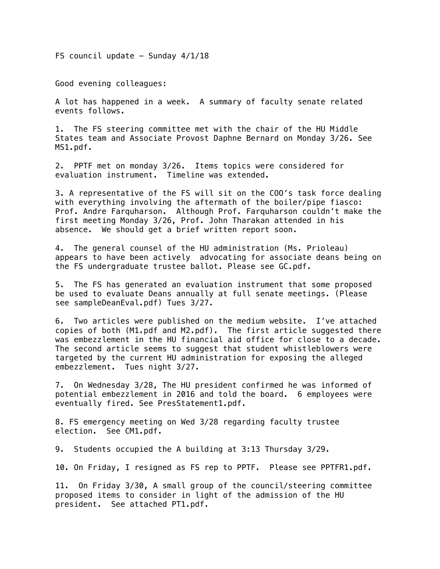FS council update  $-$  Sunday 4/1/18

Good evening colleagues:

A lot has happened in a week. A summary of faculty senate related events follows.

1. The FS steering committee met with the chair of the HU Middle States team and Associate Provost Daphne Bernard on Monday 3/26. See MS1.pdf.

2. PPTF met on monday 3/26. Items topics were considered for evaluation instrument. Timeline was extended.

3. A representative of the FS will sit on the COO's task force dealing with everything involving the aftermath of the boiler/pipe fiasco: Prof. Andre Farquharson. Although Prof. Farquharson couldn't make the first meeting Monday 3/26, Prof. John Tharakan attended in his absence. We should get a brief written report soon.

4. The general counsel of the HU administration (Ms. Prioleau) appears to have been actively advocating for associate deans being on the FS undergraduate trustee ballot. Please see GC.pdf.

5. The FS has generated an evaluation instrument that some proposed be used to evaluate Deans annually at full senate meetings. (Please see sampleDeanEval.pdf) Tues 3/27.

6. Two articles were published on the medium website. I've attached copies of both (M1.pdf and M2.pdf). The first article suggested there was embezzlement in the HU financial aid office for close to a decade. The second article seems to suggest that student whistleblowers were targeted by the current HU administration for exposing the alleged embezzlement. Tues night 3/27.

7. On Wednesday 3/28, The HU president confirmed he was informed of potential embezzlement in 2016 and told the board. 6 employees were eventually fired. See PresStatement1.pdf.

8. FS emergency meeting on Wed 3/28 regarding faculty trustee election. See CM1.pdf.

9. Students occupied the A building at 3:13 Thursday 3/29.

10. On Friday, I resigned as FS rep to PPTF. Please see PPTFR1.pdf.

11. On Friday 3/30, A small group of the council/steering committee proposed items to consider in light of the admission of the HU president. See attached PT1.pdf.